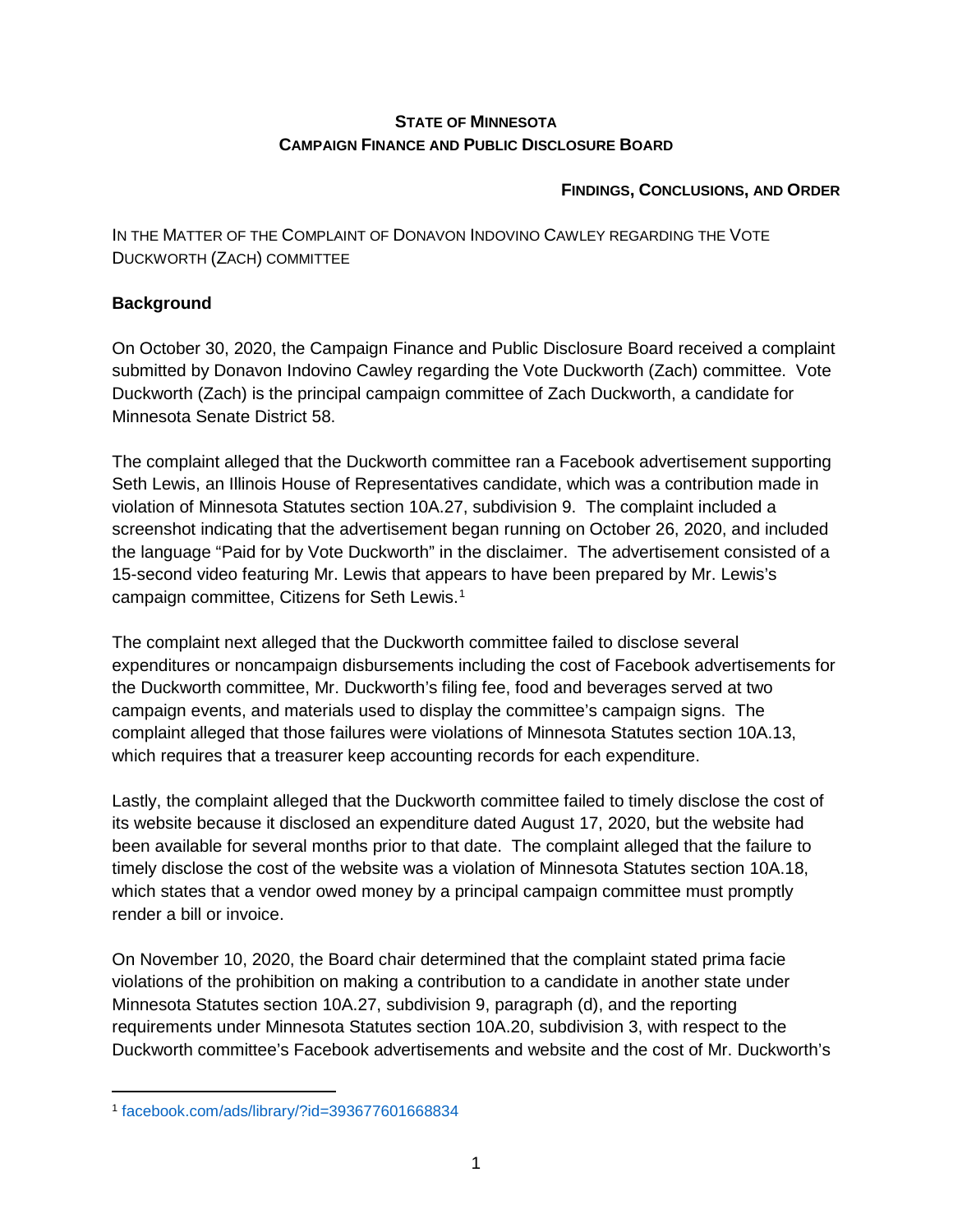#### **STATE OF MINNESOTA CAMPAIGN FINANCE AND PUBLIC DISCLOSURE BOARD**

#### **FINDINGS, CONCLUSIONS, AND ORDER**

IN THE MATTER OF THE COMPLAINT OF DONAVON INDOVINO CAWLEY REGARDING THE VOTE DUCKWORTH (ZACH) COMMITTEE

# **Background**

On October 30, 2020, the Campaign Finance and Public Disclosure Board received a complaint submitted by Donavon Indovino Cawley regarding the Vote Duckworth (Zach) committee. Vote Duckworth (Zach) is the principal campaign committee of Zach Duckworth, a candidate for Minnesota Senate District 58.

The complaint alleged that the Duckworth committee ran a Facebook advertisement supporting Seth Lewis, an Illinois House of Representatives candidate, which was a contribution made in violation of Minnesota Statutes section 10A.27, subdivision 9. The complaint included a screenshot indicating that the advertisement began running on October 26, 2020, and included the language "Paid for by Vote Duckworth" in the disclaimer. The advertisement consisted of a 15-second video featuring Mr. Lewis that appears to have been prepared by Mr. Lewis's campaign committee, Citizens for Seth Lewis.[1](#page-0-0)

The complaint next alleged that the Duckworth committee failed to disclose several expenditures or noncampaign disbursements including the cost of Facebook advertisements for the Duckworth committee, Mr. Duckworth's filing fee, food and beverages served at two campaign events, and materials used to display the committee's campaign signs. The complaint alleged that those failures were violations of Minnesota Statutes section 10A.13, which requires that a treasurer keep accounting records for each expenditure.

Lastly, the complaint alleged that the Duckworth committee failed to timely disclose the cost of its website because it disclosed an expenditure dated August 17, 2020, but the website had been available for several months prior to that date. The complaint alleged that the failure to timely disclose the cost of the website was a violation of Minnesota Statutes section 10A.18, which states that a vendor owed money by a principal campaign committee must promptly render a bill or invoice.

On November 10, 2020, the Board chair determined that the complaint stated prima facie violations of the prohibition on making a contribution to a candidate in another state under Minnesota Statutes section 10A.27, subdivision 9, paragraph (d), and the reporting requirements under Minnesota Statutes section 10A.20, subdivision 3, with respect to the Duckworth committee's Facebook advertisements and website and the cost of Mr. Duckworth's

<span id="page-0-0"></span> <sup>1</sup> [facebook.com/ads/library/?id=393677601668834](https://www.facebook.com/ads/library/?id=393677601668834)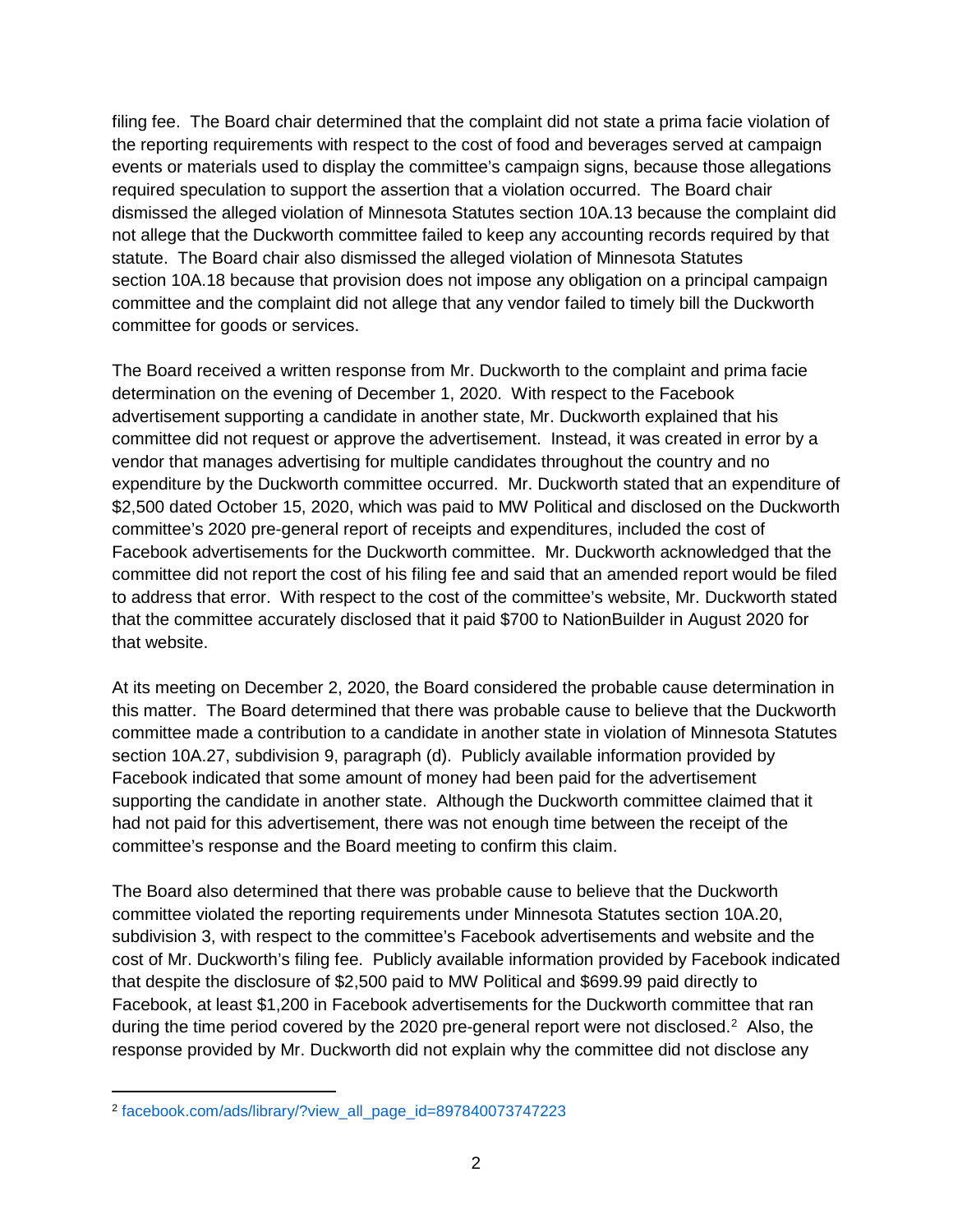filing fee. The Board chair determined that the complaint did not state a prima facie violation of the reporting requirements with respect to the cost of food and beverages served at campaign events or materials used to display the committee's campaign signs, because those allegations required speculation to support the assertion that a violation occurred. The Board chair dismissed the alleged violation of Minnesota Statutes section 10A.13 because the complaint did not allege that the Duckworth committee failed to keep any accounting records required by that statute. The Board chair also dismissed the alleged violation of Minnesota Statutes section 10A.18 because that provision does not impose any obligation on a principal campaign committee and the complaint did not allege that any vendor failed to timely bill the Duckworth committee for goods or services.

The Board received a written response from Mr. Duckworth to the complaint and prima facie determination on the evening of December 1, 2020. With respect to the Facebook advertisement supporting a candidate in another state, Mr. Duckworth explained that his committee did not request or approve the advertisement. Instead, it was created in error by a vendor that manages advertising for multiple candidates throughout the country and no expenditure by the Duckworth committee occurred. Mr. Duckworth stated that an expenditure of \$2,500 dated October 15, 2020, which was paid to MW Political and disclosed on the Duckworth committee's 2020 pre-general report of receipts and expenditures, included the cost of Facebook advertisements for the Duckworth committee. Mr. Duckworth acknowledged that the committee did not report the cost of his filing fee and said that an amended report would be filed to address that error. With respect to the cost of the committee's website, Mr. Duckworth stated that the committee accurately disclosed that it paid \$700 to NationBuilder in August 2020 for that website.

At its meeting on December 2, 2020, the Board considered the probable cause determination in this matter. The Board determined that there was probable cause to believe that the Duckworth committee made a contribution to a candidate in another state in violation of Minnesota Statutes section 10A.27, subdivision 9, paragraph (d). Publicly available information provided by Facebook indicated that some amount of money had been paid for the advertisement supporting the candidate in another state. Although the Duckworth committee claimed that it had not paid for this advertisement, there was not enough time between the receipt of the committee's response and the Board meeting to confirm this claim.

The Board also determined that there was probable cause to believe that the Duckworth committee violated the reporting requirements under Minnesota Statutes section 10A.20, subdivision 3, with respect to the committee's Facebook advertisements and website and the cost of Mr. Duckworth's filing fee. Publicly available information provided by Facebook indicated that despite the disclosure of \$2,500 paid to MW Political and \$699.99 paid directly to Facebook, at least \$1,200 in Facebook advertisements for the Duckworth committee that ran during the time period covered by the [2](#page-1-0)020 pre-general report were not disclosed.<sup>2</sup> Also, the response provided by Mr. Duckworth did not explain why the committee did not disclose any

<span id="page-1-0"></span> <sup>2</sup> [facebook.com/ads/library/?view\\_all\\_page\\_id=897840073747223](https://www.facebook.com/ads/library/?view_all_page_id=897840073747223)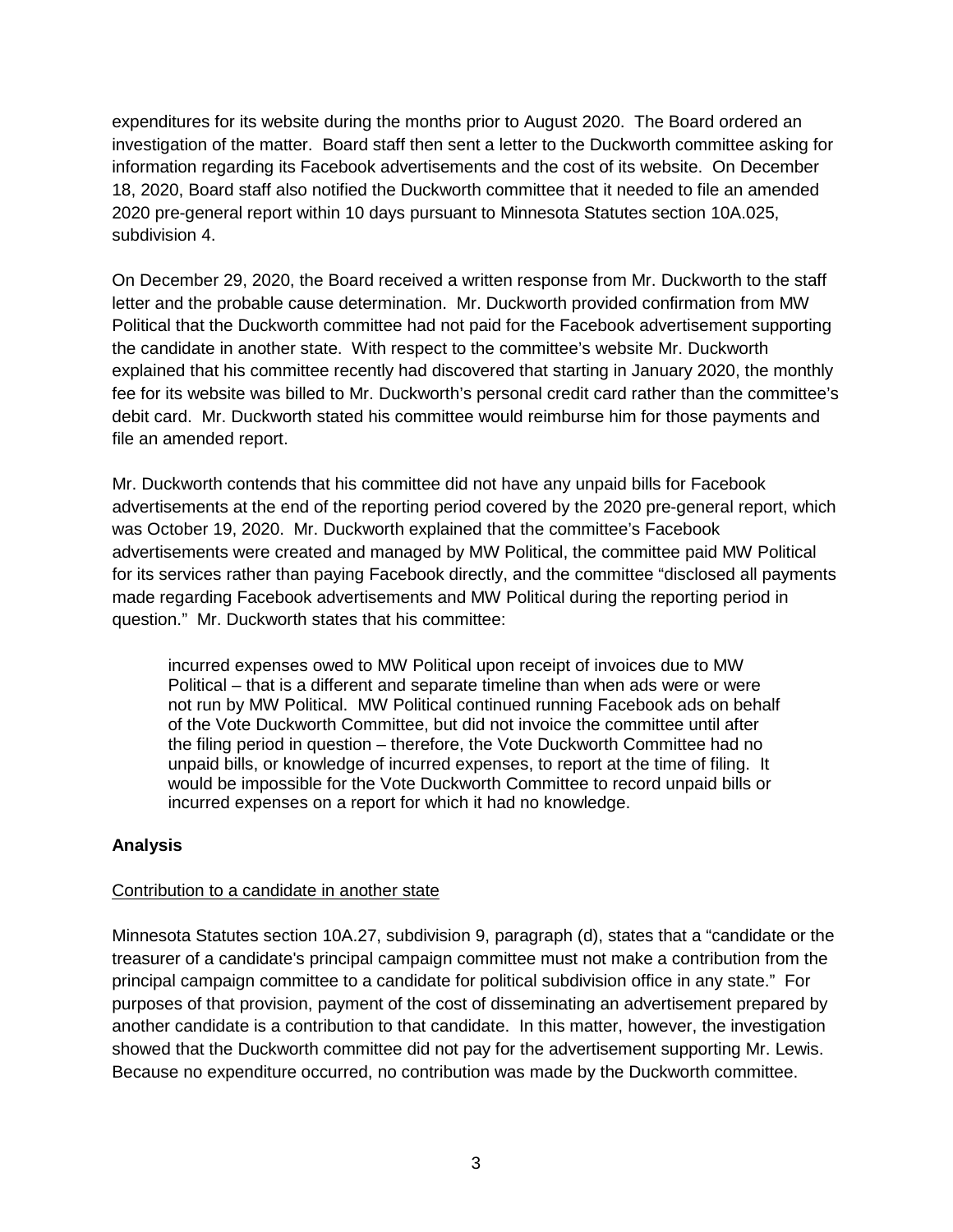expenditures for its website during the months prior to August 2020. The Board ordered an investigation of the matter. Board staff then sent a letter to the Duckworth committee asking for information regarding its Facebook advertisements and the cost of its website. On December 18, 2020, Board staff also notified the Duckworth committee that it needed to file an amended 2020 pre-general report within 10 days pursuant to Minnesota Statutes section 10A.025, subdivision 4.

On December 29, 2020, the Board received a written response from Mr. Duckworth to the staff letter and the probable cause determination. Mr. Duckworth provided confirmation from MW Political that the Duckworth committee had not paid for the Facebook advertisement supporting the candidate in another state. With respect to the committee's website Mr. Duckworth explained that his committee recently had discovered that starting in January 2020, the monthly fee for its website was billed to Mr. Duckworth's personal credit card rather than the committee's debit card. Mr. Duckworth stated his committee would reimburse him for those payments and file an amended report.

Mr. Duckworth contends that his committee did not have any unpaid bills for Facebook advertisements at the end of the reporting period covered by the 2020 pre-general report, which was October 19, 2020. Mr. Duckworth explained that the committee's Facebook advertisements were created and managed by MW Political, the committee paid MW Political for its services rather than paying Facebook directly, and the committee "disclosed all payments made regarding Facebook advertisements and MW Political during the reporting period in question." Mr. Duckworth states that his committee:

incurred expenses owed to MW Political upon receipt of invoices due to MW Political – that is a different and separate timeline than when ads were or were not run by MW Political. MW Political continued running Facebook ads on behalf of the Vote Duckworth Committee, but did not invoice the committee until after the filing period in question – therefore, the Vote Duckworth Committee had no unpaid bills, or knowledge of incurred expenses, to report at the time of filing. It would be impossible for the Vote Duckworth Committee to record unpaid bills or incurred expenses on a report for which it had no knowledge.

# **Analysis**

#### Contribution to a candidate in another state

Minnesota Statutes section 10A.27, subdivision 9, paragraph (d), states that a "candidate or the treasurer of a candidate's principal campaign committee must not make a contribution from the principal campaign committee to a candidate for political subdivision office in any state." For purposes of that provision, payment of the cost of disseminating an advertisement prepared by another candidate is a contribution to that candidate. In this matter, however, the investigation showed that the Duckworth committee did not pay for the advertisement supporting Mr. Lewis. Because no expenditure occurred, no contribution was made by the Duckworth committee.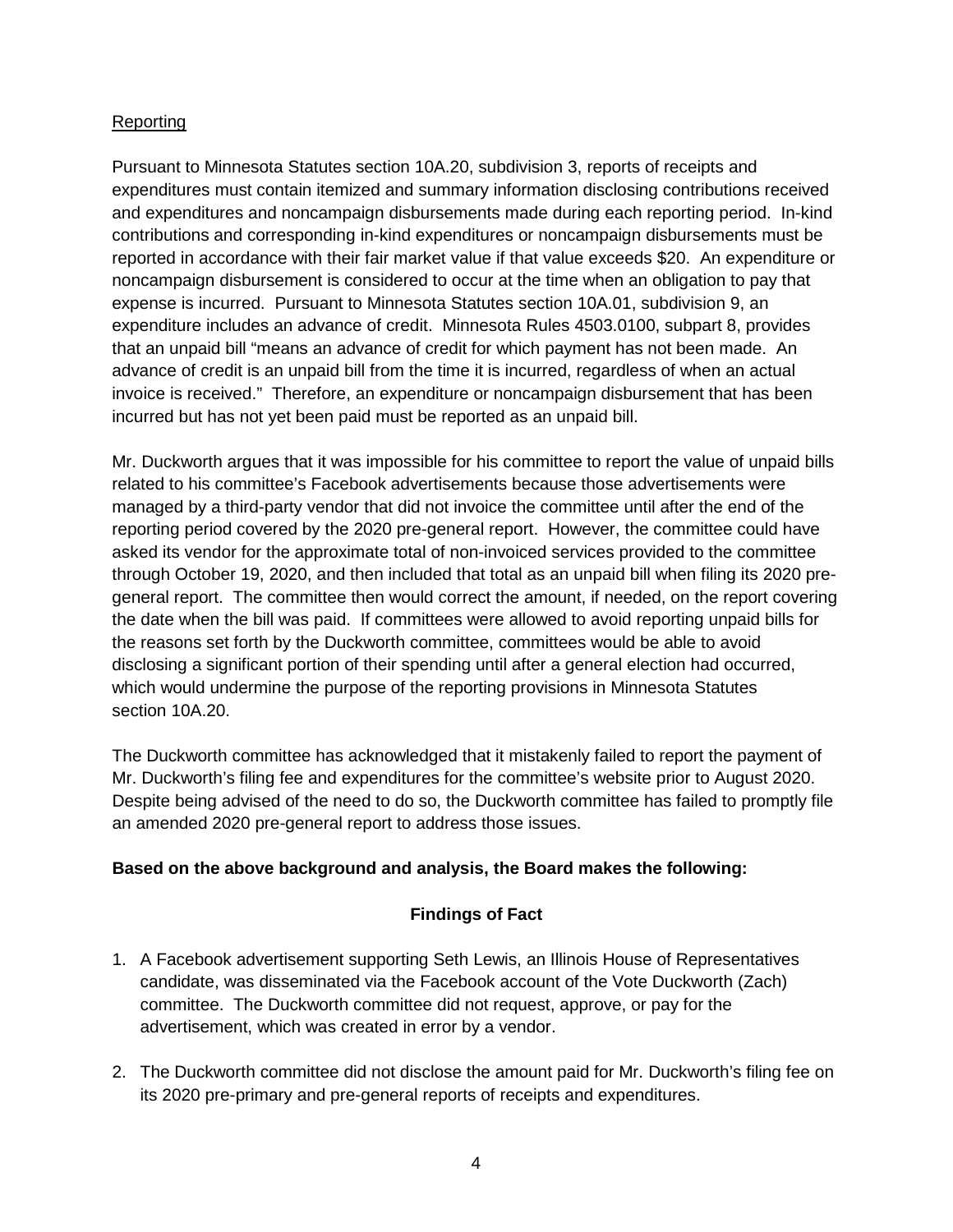#### Reporting

Pursuant to Minnesota Statutes section 10A.20, subdivision 3, reports of receipts and expenditures must contain itemized and summary information disclosing contributions received and expenditures and noncampaign disbursements made during each reporting period. In-kind contributions and corresponding in-kind expenditures or noncampaign disbursements must be reported in accordance with their fair market value if that value exceeds \$20. An expenditure or noncampaign disbursement is considered to occur at the time when an obligation to pay that expense is incurred. Pursuant to Minnesota Statutes section 10A.01, subdivision 9, an expenditure includes an advance of credit. Minnesota Rules 4503.0100, subpart 8, provides that an unpaid bill "means an advance of credit for which payment has not been made. An advance of credit is an unpaid bill from the time it is incurred, regardless of when an actual invoice is received." Therefore, an expenditure or noncampaign disbursement that has been incurred but has not yet been paid must be reported as an unpaid bill.

Mr. Duckworth argues that it was impossible for his committee to report the value of unpaid bills related to his committee's Facebook advertisements because those advertisements were managed by a third-party vendor that did not invoice the committee until after the end of the reporting period covered by the 2020 pre-general report. However, the committee could have asked its vendor for the approximate total of non-invoiced services provided to the committee through October 19, 2020, and then included that total as an unpaid bill when filing its 2020 pregeneral report. The committee then would correct the amount, if needed, on the report covering the date when the bill was paid. If committees were allowed to avoid reporting unpaid bills for the reasons set forth by the Duckworth committee, committees would be able to avoid disclosing a significant portion of their spending until after a general election had occurred, which would undermine the purpose of the reporting provisions in Minnesota Statutes section 10A.20.

The Duckworth committee has acknowledged that it mistakenly failed to report the payment of Mr. Duckworth's filing fee and expenditures for the committee's website prior to August 2020. Despite being advised of the need to do so, the Duckworth committee has failed to promptly file an amended 2020 pre-general report to address those issues.

# **Based on the above background and analysis, the Board makes the following:**

# **Findings of Fact**

- 1. A Facebook advertisement supporting Seth Lewis, an Illinois House of Representatives candidate, was disseminated via the Facebook account of the Vote Duckworth (Zach) committee. The Duckworth committee did not request, approve, or pay for the advertisement, which was created in error by a vendor.
- 2. The Duckworth committee did not disclose the amount paid for Mr. Duckworth's filing fee on its 2020 pre-primary and pre-general reports of receipts and expenditures.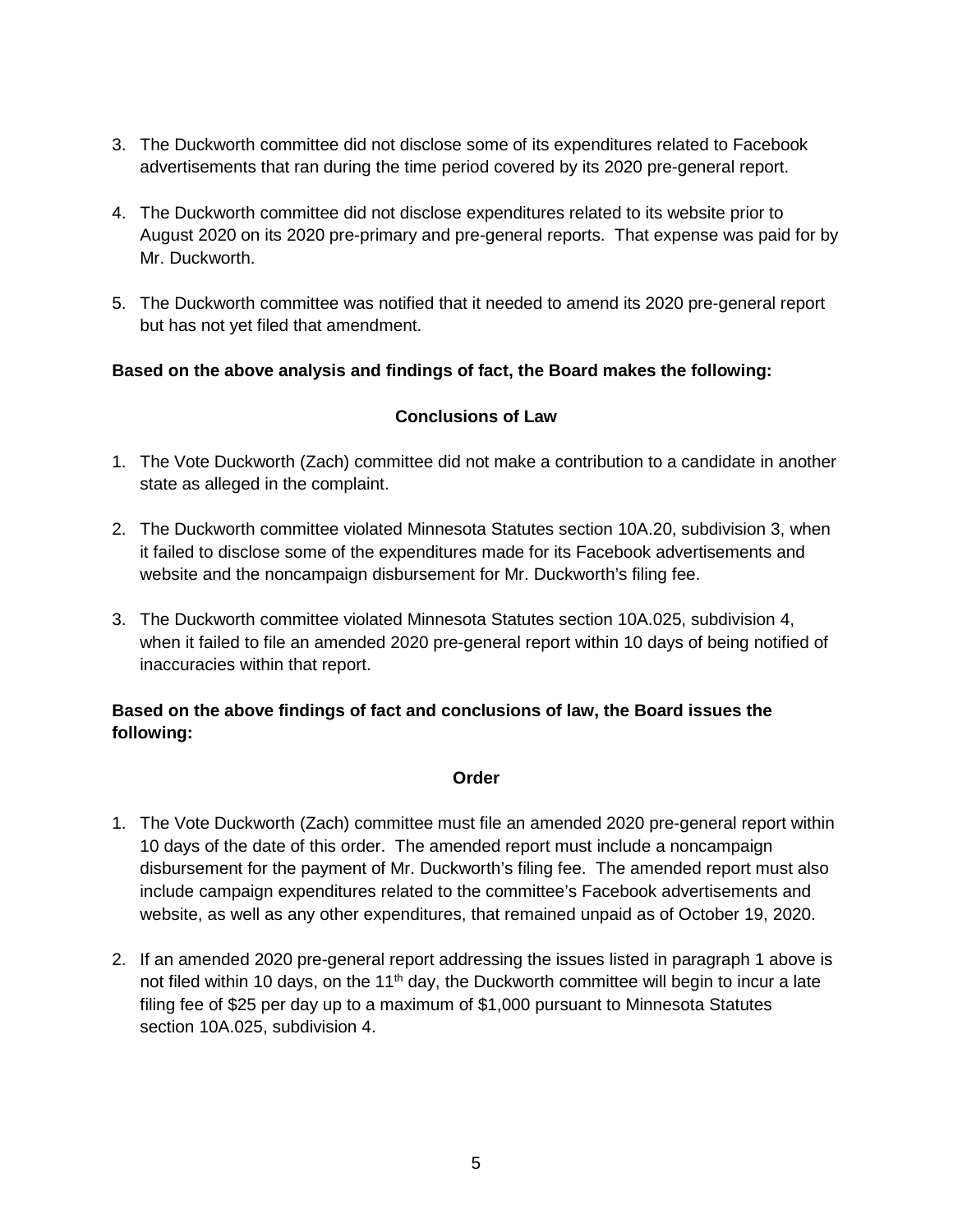- 3. The Duckworth committee did not disclose some of its expenditures related to Facebook advertisements that ran during the time period covered by its 2020 pre-general report.
- 4. The Duckworth committee did not disclose expenditures related to its website prior to August 2020 on its 2020 pre-primary and pre-general reports. That expense was paid for by Mr. Duckworth.
- 5. The Duckworth committee was notified that it needed to amend its 2020 pre-general report but has not yet filed that amendment.

# **Based on the above analysis and findings of fact, the Board makes the following:**

#### **Conclusions of Law**

- 1. The Vote Duckworth (Zach) committee did not make a contribution to a candidate in another state as alleged in the complaint.
- 2. The Duckworth committee violated Minnesota Statutes section 10A.20, subdivision 3, when it failed to disclose some of the expenditures made for its Facebook advertisements and website and the noncampaign disbursement for Mr. Duckworth's filing fee.
- 3. The Duckworth committee violated Minnesota Statutes section 10A.025, subdivision 4, when it failed to file an amended 2020 pre-general report within 10 days of being notified of inaccuracies within that report.

# **Based on the above findings of fact and conclusions of law, the Board issues the following:**

#### **Order**

- 1. The Vote Duckworth (Zach) committee must file an amended 2020 pre-general report within 10 days of the date of this order. The amended report must include a noncampaign disbursement for the payment of Mr. Duckworth's filing fee. The amended report must also include campaign expenditures related to the committee's Facebook advertisements and website, as well as any other expenditures, that remained unpaid as of October 19, 2020.
- 2. If an amended 2020 pre-general report addressing the issues listed in paragraph 1 above is not filed within 10 days, on the 11<sup>th</sup> day, the Duckworth committee will begin to incur a late filing fee of \$25 per day up to a maximum of \$1,000 pursuant to Minnesota Statutes section 10A.025, subdivision 4.